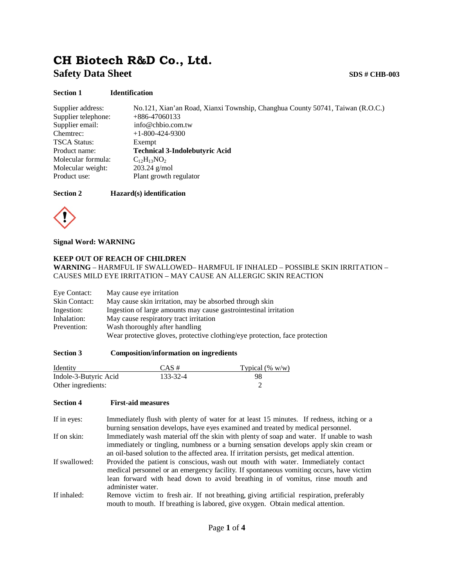# **CH Biotech R&D Co., Ltd. Safety Data Sheet SDS # CHB-003**

## **Section 1 Identification**

| Supplier address:   | No.121, Xian'an Road, Xianxi Township, Changhua County 50741, Taiwan (R.O.C.) |
|---------------------|-------------------------------------------------------------------------------|
| Supplier telephone: | $+886-47060133$                                                               |
| Supplier email:     | info@chbio.com.tw                                                             |
| Chemtrec:           | $+1-800-424-9300$                                                             |
| <b>TSCA Status:</b> | Exempt                                                                        |
| Product name:       | <b>Technical 3-Indolebutyric Acid</b>                                         |
| Molecular formula:  | $C_{12}H_{13}NO_2$                                                            |
| Molecular weight:   | $203.24$ g/mol                                                                |
| Product use:        | Plant growth regulator                                                        |

## **Section 2 Hazard(s) identification**



**Signal Word: WARNING**

## **KEEP OUT OF REACH OF CHILDREN**

**WARNING** – HARMFUL IF SWALLOWED– HARMFUL IF INHALED – POSSIBLE SKIN IRRITATION – CAUSES MILD EYE IRRITATION – MAY CAUSE AN ALLERGIC SKIN REACTION

| Eye Contact:  | May cause eye irritation                                                    |
|---------------|-----------------------------------------------------------------------------|
| Skin Contact: | May cause skin irritation, may be absorbed through skin                     |
| Ingestion:    | Ingestion of large amounts may cause gastrointestinal irritation            |
| Inhalation:   | May cause respiratory tract irritation                                      |
| Prevention:   | Wash thoroughly after handling                                              |
|               | Wear protective gloves, protective clothing/eye protection, face protection |

## **Section 3 Composition/information on ingredients**

| Identity              | $CAS \#$ | Typical $(\% w/w)$ |
|-----------------------|----------|--------------------|
| Indole-3-Butyric Acid | 133-32-4 | 98                 |
| Other ingredients:    |          |                    |

#### **Section 4 First-aid measures**

If in eyes: Immediately flush with plenty of water for at least 15 minutes. If redness, itching or a burning sensation develops, have eyes examined and treated by medical personnel.

If on skin: Immediately wash material off the skin with plenty of soap and water. If unable to wash immediately or tingling, numbness or a burning sensation develops apply skin cream or an oil-based solution to the affected area. If irritation persists, get medical attention.

If swallowed: Provided the patient is conscious, wash out mouth with water. Immediately contact medical personnel or an emergency facility. If spontaneous vomiting occurs, have victim lean forward with head down to avoid breathing in of vomitus, rinse mouth and administer water.

If inhaled: Remove victim to fresh air. If not breathing, giving artificial respiration, preferably mouth to mouth. If breathing is labored, give oxygen. Obtain medical attention.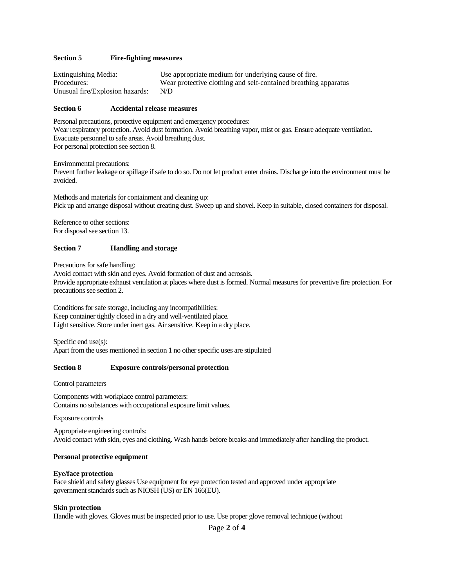## **Section 5 Fire-fighting measures**

| Extinguishing Media:            | Use appropriate medium for underlying cause of fire.            |
|---------------------------------|-----------------------------------------------------------------|
| Procedures:                     | Wear protective clothing and self-contained breathing apparatus |
| Unusual fire/Explosion hazards: | N/D                                                             |

#### **Section 6 Accidental release measures**

Personal precautions, protective equipment and emergency procedures: Wear respiratory protection. Avoid dust formation. Avoid breathing vapor, mist or gas. Ensure adequate ventilation. Evacuate personnel to safe areas. Avoid breathing dust. For personal protection see section 8.

Environmental precautions:

Prevent further leakage or spillage if safe to do so. Do not let product enter drains. Discharge into the environment must be avoided.

Methods and materials for containment and cleaning up: Pick up and arrange disposal without creating dust. Sweep up and shovel. Keep in suitable, closed containers for disposal.

Reference to other sections: For disposal see section 13.

#### **Section 7 Handling and storage**

Precautions for safe handling:

Avoid contact with skin and eyes. Avoid formation of dust and aerosols. Provide appropriate exhaust ventilation at places where dust is formed. Normal measures for preventive fire protection. For precautions see section 2.

Conditions for safe storage, including any incompatibilities: Keep container tightly closed in a dry and well-ventilated place. Light sensitive. Store under inert gas. Air sensitive. Keep in a dry place.

Specific end use(s): Apart from the uses mentioned in section 1 no other specific uses are stipulated

#### **Section 8 Exposure controls/personal protection**

Control parameters

Components with workplace control parameters: Contains no substances with occupational exposure limit values.

Exposure controls

Appropriate engineering controls: Avoid contact with skin, eyes and clothing. Wash hands before breaks and immediately after handling the product.

#### **Personal protective equipment**

#### **Eye/face protection**

Face shield and safety glasses Use equipment for eye protection tested and approved under appropriate government standards such as NIOSH (US) or EN 166(EU).

#### **Skin protection**

Handle with gloves. Gloves must be inspected prior to use. Use proper glove removal technique (without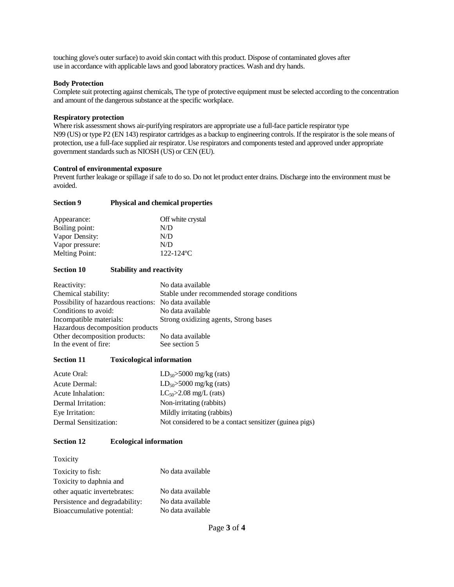touching glove's outer surface) to avoid skin contact with this product. Dispose of contaminated gloves after use in accordance with applicable laws and good laboratory practices. Wash and dry hands.

## **Body Protection**

Complete suit protecting against chemicals, The type of protective equipment must be selected according to the concentration and amount of the dangerous substance at the specific workplace.

## **Respiratory protection**

Where risk assessment shows air-purifying respirators are appropriate use a full-face particle respirator type N99 (US) or type P2 (EN 143) respirator cartridges as a backup to engineering controls. If the respirator is the sole means of protection, use a full-face supplied air respirator. Use respirators and components tested and approved under appropriate government standards such as NIOSH (US) or CEN (EU).

## **Control of environmental exposure**

Prevent further leakage or spillage if safe to do so. Do not let product enter drains. Discharge into the environment must be avoided.

| <b>Section 9</b> | <b>Physical and chemical properties</b> |  |
|------------------|-----------------------------------------|--|
| Appearance:      | Off white crystal                       |  |
| Boiling point:   | N/D                                     |  |
| Vapor Density:   | N/D                                     |  |
| Vapor pressure:  | N/D                                     |  |
| Melting Point:   | $122 - 124$ °C                          |  |

## **Section 10 Stability and reactivity**

| Reactivity:                                           | No data available                           |
|-------------------------------------------------------|---------------------------------------------|
| Chemical stability:                                   | Stable under recommended storage conditions |
| Possibility of hazardous reactions: No data available |                                             |
| Conditions to avoid:                                  | No data available                           |
| Incompatible materials:                               | Strong oxidizing agents, Strong bases       |
| Hazardous decomposition products                      |                                             |
| Other decomposition products:                         | No data available                           |
| In the event of fire:                                 | See section 5                               |
|                                                       |                                             |

## **Section 11 Toxicological information**

| Acute Oral:           | $LD_{50} > 5000$ mg/kg (rats)                           |
|-----------------------|---------------------------------------------------------|
| Acute Dermal:         | $LD_{50} > 5000$ mg/kg (rats)                           |
| Acute Inhalation:     | $LC_{50} > 2.08$ mg/L (rats)                            |
| Dermal Irritation:    | Non-irritating (rabbits)                                |
| Eye Irritation:       | Mildly irritating (rabbits)                             |
| Dermal Sensitization: | Not considered to be a contact sensitizer (guinea pigs) |

## **Section 12 Ecological information**

Toxicity

| Toxicity to fish:              | No data available |
|--------------------------------|-------------------|
| Toxicity to daphnia and        |                   |
| other aquatic invertebrates:   | No data available |
| Persistence and degradability: | No data available |
| Bioaccumulative potential:     | No data available |